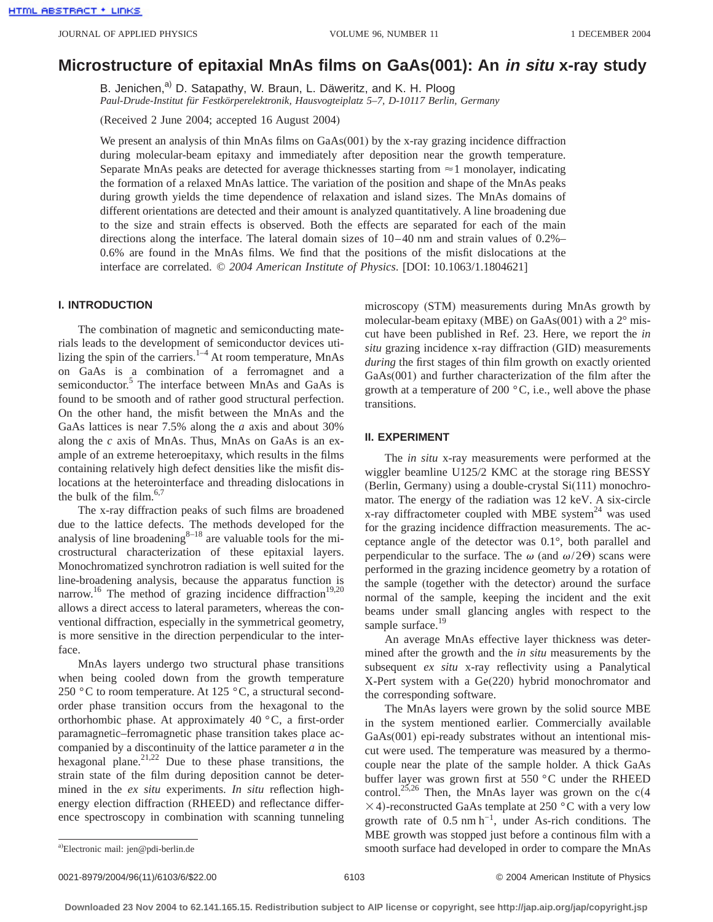# **Microstructure of epitaxial MnAs films on GaAs(001): An in situ x-ray study**

B. Jenichen,<sup>a)</sup> D. Satapathy, W. Braun, L. Däweritz, and K. H. Ploog *Paul-Drude-Institut für Festkörperelektronik, Hausvogteiplatz 5–7, D-10117 Berlin, Germany*

(Received 2 June 2004; accepted 16 August 2004)

We present an analysis of thin MnAs films on GaAs(001) by the x-ray grazing incidence diffraction during molecular-beam epitaxy and immediately after deposition near the growth temperature. Separate MnAs peaks are detected for average thicknesses starting from  $\approx$  1 monolayer, indicating the formation of a relaxed MnAs lattice. The variation of the position and shape of the MnAs peaks during growth yields the time dependence of relaxation and island sizes. The MnAs domains of different orientations are detected and their amount is analyzed quantitatively. A line broadening due to the size and strain effects is observed. Both the effects are separated for each of the main directions along the interface. The lateral domain sizes of 10–40 nm and strain values of 0.2%– 0.6% are found in the MnAs films. We find that the positions of the misfit dislocations at the interface are correlated. © *2004 American Institute of Physics*. [DOI: 10.1063/1.1804621]

## **I. INTRODUCTION**

The combination of magnetic and semiconducting materials leads to the development of semiconductor devices utilizing the spin of the carriers.<sup>1–4</sup> At room temperature, MnAs on GaAs is a combination of a ferromagnet and a semiconductor.<sup>5</sup> The interface between MnAs and GaAs is found to be smooth and of rather good structural perfection. On the other hand, the misfit between the MnAs and the GaAs lattices is near 7.5% along the *a* axis and about 30% along the *c* axis of MnAs. Thus, MnAs on GaAs is an example of an extreme heteroepitaxy, which results in the films containing relatively high defect densities like the misfit dislocations at the heterointerface and threading dislocations in the bulk of the film.<sup>6,7</sup>

The x-ray diffraction peaks of such films are broadened due to the lattice defects. The methods developed for the analysis of line broadening $8-18$  are valuable tools for the microstructural characterization of these epitaxial layers. Monochromatized synchrotron radiation is well suited for the line-broadening analysis, because the apparatus function is narrow.<sup>16</sup> The method of grazing incidence diffraction<sup>19,20</sup> allows a direct access to lateral parameters, whereas the conventional diffraction, especially in the symmetrical geometry, is more sensitive in the direction perpendicular to the interface.

MnAs layers undergo two structural phase transitions when being cooled down from the growth temperature 250 °C to room temperature. At 125 °C, a structural secondorder phase transition occurs from the hexagonal to the orthorhombic phase. At approximately 40 °C, a first-order paramagnetic–ferromagnetic phase transition takes place accompanied by a discontinuity of the lattice parameter *a* in the hexagonal plane.<sup>21,22</sup> Due to these phase transitions, the strain state of the film during deposition cannot be determined in the *ex situ* experiments. *In situ* reflection highenergy election diffraction (RHEED) and reflectance difference spectroscopy in combination with scanning tunneling

microscopy (STM) measurements during MnAs growth by molecular-beam epitaxy (MBE) on GaAs(001) with a 2° miscut have been published in Ref. 23. Here, we report the *in situ* grazing incidence x-ray diffraction (GID) measurements *during* the first stages of thin film growth on exactly oriented GaAs(001) and further characterization of the film after the growth at a temperature of 200 $\degree$ C, i.e., well above the phase transitions.

## **II. EXPERIMENT**

The *in situ* x-ray measurements were performed at the wiggler beamline U125/2 KMC at the storage ring BESSY (Berlin, Germany) using a double-crystal Si(111) monochromator. The energy of the radiation was 12 keV. A six-circle x-ray diffractometer coupled with MBE system $^{24}$  was used for the grazing incidence diffraction measurements. The acceptance angle of the detector was 0.1°, both parallel and perpendicular to the surface. The  $\omega$  (and  $\omega/2\Theta$ ) scans were performed in the grazing incidence geometry by a rotation of the sample (together with the detector) around the surface normal of the sample, keeping the incident and the exit beams under small glancing angles with respect to the sample surface.<sup>19</sup>

An average MnAs effective layer thickness was determined after the growth and the *in situ* measurements by the subsequent *ex situ* x-ray reflectivity using a Panalytical X-Pert system with a Ge(220) hybrid monochromator and the corresponding software.

The MnAs layers were grown by the solid source MBE in the system mentioned earlier. Commercially available GaAs(001) epi-ready substrates without an intentional miscut were used. The temperature was measured by a thermocouple near the plate of the sample holder. A thick GaAs buffer layer was grown first at 550 °C under the RHEED control.<sup>25,26</sup> Then, the MnAs layer was grown on the  $c(4)$  $\times$  4)-reconstructed GaAs template at 250 °C with a very low growth rate of  $0.5 \text{ nm h}^{-1}$ , under As-rich conditions. The MBE growth was stopped just before a continous film with a smooth surface had developed in order to compare the MnAs

0021-8979/2004/96(11)/6103/6/\$22.00 © 2004 American Institute of Physics 6103

Electronic mail: jen@pdi-berlin.de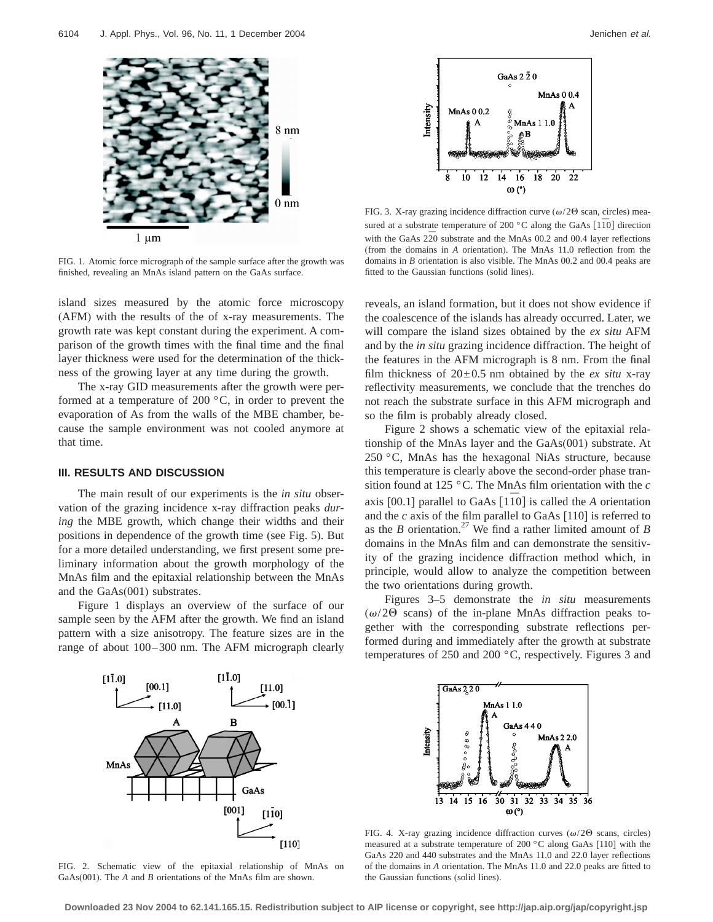

FIG. 1. Atomic force micrograph of the sample surface after the growth was finished, revealing an MnAs island pattern on the GaAs surface.

island sizes measured by the atomic force microscopy (AFM) with the results of the of x-ray measurements. The growth rate was kept constant during the experiment. A comparison of the growth times with the final time and the final layer thickness were used for the determination of the thickness of the growing layer at any time during the growth.

The x-ray GID measurements after the growth were performed at a temperature of 200 °C, in order to prevent the evaporation of As from the walls of the MBE chamber, because the sample environment was not cooled anymore at that time.

#### **III. RESULTS AND DISCUSSION**

The main result of our experiments is the *in situ* observation of the grazing incidence x-ray diffraction peaks *during* the MBE growth, which change their widths and their positions in dependence of the growth time (see Fig. 5). But for a more detailed understanding, we first present some preliminary information about the growth morphology of the MnAs film and the epitaxial relationship between the MnAs and the GaAs(001) substrates.

Figure 1 displays an overview of the surface of our sample seen by the AFM after the growth. We find an island pattern with a size anisotropy. The feature sizes are in the range of about 100–300 nm. The AFM micrograph clearly



FIG. 3. X-ray grazing incidence diffraction curve ( $\omega/2\Theta$  scan, circles) measured at a substrate temperature of 200  $\degree$ C along the GaAs [1 $\overline{10}$ ] direction with the GaAs  $2\overline{2}0$  substrate and the MnAs 00.2 and 00.4 layer reflections (from the domains in *A* orientation). The MnAs 11.0 reflection from the domains in *B* orientation is also visible. The MnAs 00.2 and 00.4 peaks are fitted to the Gaussian functions (solid lines).

reveals, an island formation, but it does not show evidence if the coalescence of the islands has already occurred. Later, we will compare the island sizes obtained by the *ex situ* AFM and by the *in situ* grazing incidence diffraction. The height of the features in the AFM micrograph is 8 nm. From the final film thickness of  $20\pm0.5$  nm obtained by the *ex situ* x-ray reflectivity measurements, we conclude that the trenches do not reach the substrate surface in this AFM micrograph and so the film is probably already closed.

Figure 2 shows a schematic view of the epitaxial relationship of the MnAs layer and the GaAs(001) substrate. At 250 °C, MnAs has the hexagonal NiAs structure, because this temperature is clearly above the second-order phase transition found at 125 °C. The MnAs film orientation with the *c* axis [00.1] parallel to GaAs  $\left[110\right]$  is called the *A* orientation and the *c* axis of the film parallel to GaAs [110] is referred to as the *B* orientation.<sup>27</sup> We find a rather limited amount of *B* domains in the MnAs film and can demonstrate the sensitivity of the grazing incidence diffraction method which, in principle, would allow to analyze the competition between the two orientations during growth.

Figures 3–5 demonstrate the *in situ* measurements  $(\omega/2\Theta \text{ scans})$  of the in-plane MnAs diffraction peaks together with the corresponding substrate reflections performed during and immediately after the growth at substrate temperatures of 250 and 200 °C, respectively. Figures 3 and



FIG. 2. Schematic view of the epitaxial relationship of MnAs on GaAs(001). The *A* and *B* orientations of the MnAs film are shown.



FIG. 4. X-ray grazing incidence diffraction curves  $(\omega/2\Theta \text{ scans, circles})$ measured at a substrate temperature of 200 °C along GaAs [110] with the GaAs 220 and 440 substrates and the MnAs 11.0 and 22.0 layer reflections of the domains in *A* orientation. The MnAs 11.0 and 22.0 peaks are fitted to the Gaussian functions (solid lines).

**Downloaded 23 Nov 2004 to 62.141.165.15. Redistribution subject to AIP license or copyright, see http://jap.aip.org/jap/copyright.jsp**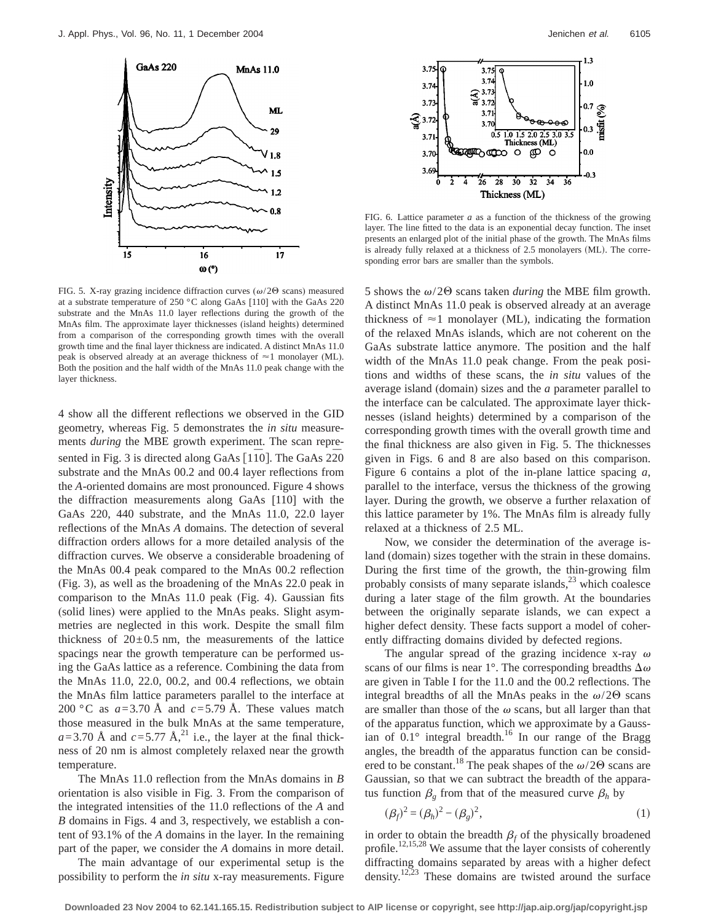

FIG. 5. X-ray grazing incidence diffraction curves ( $\omega$ /20 scans) measured at a substrate temperature of 250 °C along GaAs [110] with the GaAs 220 substrate and the MnAs 11.0 layer reflections during the growth of the MnAs film. The approximate layer thicknesses (island heights) determined from a comparison of the corresponding growth times with the overall growth time and the final layer thickness are indicated. A distinct MnAs 11.0 peak is observed already at an average thickness of  $\approx$  1 monolayer (ML). Both the position and the half width of the MnAs 11.0 peak change with the layer thickness.

4 show all the different reflections we observed in the GID geometry, whereas Fig. 5 demonstrates the *in situ* measurements *during* the MBE growth experiment. The scan represented in Fig. 3 is directed along GaAs [110]. The GaAs 220 substrate and the MnAs 00.2 and 00.4 layer reflections from the *A*-oriented domains are most pronounced. Figure 4 shows the diffraction measurements along GaAs [110] with the GaAs 220, 440 substrate, and the MnAs 11.0, 22.0 layer reflections of the MnAs *A* domains. The detection of several diffraction orders allows for a more detailed analysis of the diffraction curves. We observe a considerable broadening of the MnAs 00.4 peak compared to the MnAs 00.2 reflection (Fig. 3), as well as the broadening of the MnAs 22.0 peak in comparison to the MnAs 11.0 peak (Fig. 4). Gaussian fits (solid lines) were applied to the MnAs peaks. Slight asymmetries are neglected in this work. Despite the small film thickness of  $20 \pm 0.5$  nm, the measurements of the lattice spacings near the growth temperature can be performed using the GaAs lattice as a reference. Combining the data from the MnAs 11.0, 22.0, 00.2, and 00.4 reflections, we obtain the MnAs film lattice parameters parallel to the interface at 200 °C as  $a=3.70$  Å and  $c=5.79$  Å. These values match those measured in the bulk MnAs at the same temperature,  $a=3.70$  Å and  $c=5.77$  Å,<sup>21</sup> i.e., the layer at the final thickness of 20 nm is almost completely relaxed near the growth temperature.

The MnAs 11.0 reflection from the MnAs domains in *B* orientation is also visible in Fig. 3. From the comparison of the integrated intensities of the 11.0 reflections of the *A* and *B* domains in Figs. 4 and 3, respectively, we establish a content of 93.1% of the *A* domains in the layer. In the remaining part of the paper, we consider the *A* domains in more detail.

The main advantage of our experimental setup is the possibility to perform the *in situ* x-ray measurements. Figure



FIG. 6. Lattice parameter *a* as a function of the thickness of the growing layer. The line fitted to the data is an exponential decay function. The inset presents an enlarged plot of the initial phase of the growth. The MnAs films is already fully relaxed at a thickness of  $2.5$  monolayers (ML). The corresponding error bars are smaller than the symbols.

5 shows the  $\omega/2\Theta$  scans taken *during* the MBE film growth. A distinct MnAs 11.0 peak is observed already at an average thickness of  $\approx$  1 monolayer (ML), indicating the formation of the relaxed MnAs islands, which are not coherent on the GaAs substrate lattice anymore. The position and the half width of the MnAs 11.0 peak change. From the peak positions and widths of these scans, the *in situ* values of the average island (domain) sizes and the *a* parameter parallel to the interface can be calculated. The approximate layer thicknesses (island heights) determined by a comparison of the corresponding growth times with the overall growth time and the final thickness are also given in Fig. 5. The thicknesses given in Figs. 6 and 8 are also based on this comparison. Figure 6 contains a plot of the in-plane lattice spacing *a*, parallel to the interface, versus the thickness of the growing layer. During the growth, we observe a further relaxation of this lattice parameter by 1%. The MnAs film is already fully relaxed at a thickness of 2.5 ML.

Now, we consider the determination of the average island (domain) sizes together with the strain in these domains. During the first time of the growth, the thin-growing film probably consists of many separate islands, $^{23}$  which coalesce during a later stage of the film growth. At the boundaries between the originally separate islands, we can expect a higher defect density. These facts support a model of coherently diffracting domains divided by defected regions.

The angular spread of the grazing incidence x-ray  $\omega$ scans of our films is near 1°. The corresponding breadths  $\Delta\omega$ are given in Table I for the 11.0 and the 00.2 reflections. The integral breadths of all the MnAs peaks in the  $\omega/2\Theta$  scans are smaller than those of the  $\omega$  scans, but all larger than that of the apparatus function, which we approximate by a Gaussian of  $0.1^\circ$  integral breadth.<sup>16</sup> In our range of the Bragg angles, the breadth of the apparatus function can be considered to be constant.<sup>18</sup> The peak shapes of the  $\omega/2\Theta$  scans are Gaussian, so that we can subtract the breadth of the apparatus function  $\beta_g$  from that of the measured curve  $\beta_h$  by

$$
(\beta_f)^2 = (\beta_h)^2 - (\beta_g)^2,
$$
 (1)

in order to obtain the breadth  $\beta_f$  of the physically broadened profile.<sup>12,15,28</sup> We assume that the layer consists of coherently diffracting domains separated by areas with a higher defect density.<sup>12,23</sup> These domains are twisted around the surface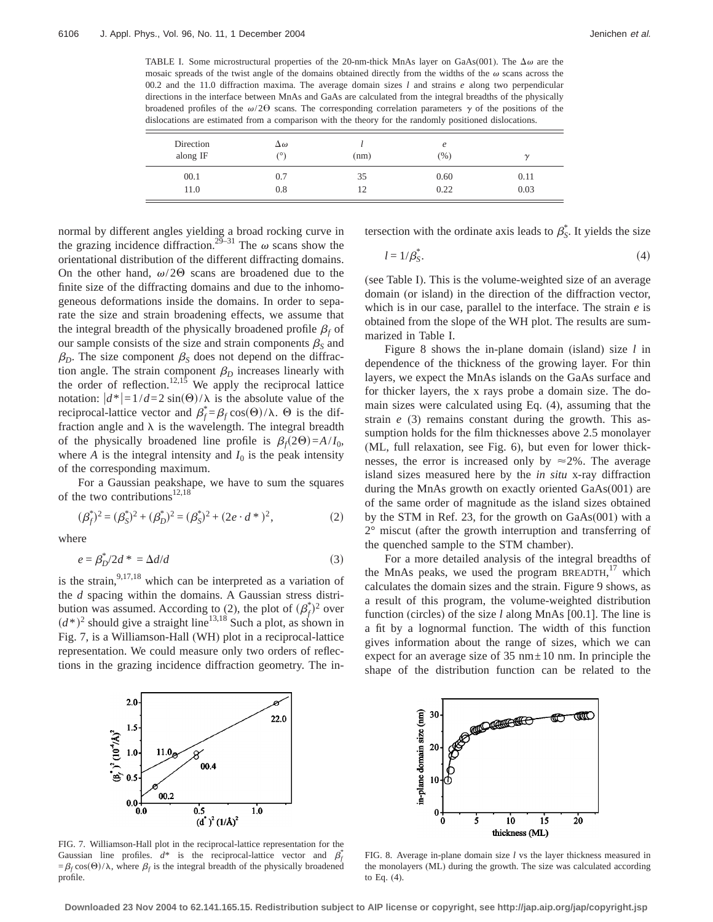Ė

TABLE I. Some microstructural properties of the 20-nm-thick MnAs layer on GaAs(001). The  $\Delta\omega$  are the mosaic spreads of the twist angle of the domains obtained directly from the widths of the  $\omega$  scans across the 00.2 and the 11.0 diffraction maxima. The average domain sizes *l* and strains *e* along two perpendicular directions in the interface between MnAs and GaAs are calculated from the integral breadths of the physically broadened profiles of the  $\omega/2\Theta$  scans. The corresponding correlation parameters  $\gamma$  of the positions of the dislocations are estimated from a comparison with the theory for the randomly positioned dislocations.

| Direction<br>along IF | $\Delta\omega$<br>$\circ$ | (nm) | e<br>$(\% )$ | $\sim$ |
|-----------------------|---------------------------|------|--------------|--------|
| 00.1                  | 0.7                       | 35   | 0.60         | 0.11   |
| 11.0                  | 0.8                       | 12   | 0.22         | 0.03   |

normal by different angles yielding a broad rocking curve in the grazing incidence diffraction.<sup>29–31</sup> The  $\omega$  scans show the orientational distribution of the different diffracting domains. On the other hand,  $\omega/2\Theta$  scans are broadened due to the finite size of the diffracting domains and due to the inhomogeneous deformations inside the domains. In order to separate the size and strain broadening effects, we assume that the integral breadth of the physically broadened profile  $\beta_f$  of our sample consists of the size and strain components  $\beta_s$  and  $\beta_D$ . The size component  $\beta_S$  does not depend on the diffraction angle. The strain component  $\beta_D$  increases linearly with the order of reflection.<sup>12,15</sup> We apply the reciprocal lattice notation:  $|d^*| = 1/d = 2 \sin(\Theta)/\lambda$  is the absolute value of the reciprocal-lattice vector and  $\beta_f^* = \beta_f \cos(\Theta)/\lambda$ .  $\Theta$  is the diffraction angle and  $\lambda$  is the wavelength. The integral breadth of the physically broadened line profile is  $\beta_f(2\Theta)=A/I_0$ , where *A* is the integral intensity and  $I_0$  is the peak intensity of the corresponding maximum.

For a Gaussian peakshape, we have to sum the squares of the two contributions<sup>12,18</sup>

$$
(\beta_f^*)^2 = (\beta_S^*)^2 + (\beta_D^*)^2 = (\beta_S^*)^2 + (2e \cdot d^*)^2,
$$
 (2)

where

$$
e = \beta_D^* / 2d^* = \Delta d/d \tag{3}
$$

is the strain,  $9,17,18$  which can be interpreted as a variation of the *d* spacing within the domains. A Gaussian stress distribution was assumed. According to (2), the plot of  $(\beta_f^*)^2$  over  $(d^*)^2$  should give a straight line<sup>13,18</sup> Such a plot, as shown in Fig. 7, is a Williamson-Hall (WH) plot in a reciprocal-lattice representation. We could measure only two orders of reflections in the grazing incidence diffraction geometry. The intersection with the ordinate axis leads to  $\beta_{S}^*$ . It yields the size

$$
l = 1/\beta_S^*.\tag{4}
$$

(see Table I). This is the volume-weighted size of an average domain (or island) in the direction of the diffraction vector, which is in our case, parallel to the interface. The strain *e* is obtained from the slope of the WH plot. The results are summarized in Table I.

Figure 8 shows the in-plane domain (island) size *l* in dependence of the thickness of the growing layer. For thin layers, we expect the MnAs islands on the GaAs surface and for thicker layers, the x rays probe a domain size. The domain sizes were calculated using Eq. (4), assuming that the strain *e* (3) remains constant during the growth. This assumption holds for the film thicknesses above 2.5 monolayer (ML, full relaxation, see Fig. 6), but even for lower thicknesses, the error is increased only by  $\approx 2\%$ . The average island sizes measured here by the *in situ* x-ray diffraction during the MnAs growth on exactly oriented GaAs(001) are of the same order of magnitude as the island sizes obtained by the STM in Ref. 23, for the growth on GaAs(001) with a 2° miscut (after the growth interruption and transferring of the quenched sample to the STM chamber).

For a more detailed analysis of the integral breadths of the MnAs peaks, we used the program BREADTH,<sup>17</sup> which calculates the domain sizes and the strain. Figure 9 shows, as a result of this program, the volume-weighted distribution function (circles) of the size *l* along MnAs [00.1]. The line is a fit by a lognormal function. The width of this function gives information about the range of sizes, which we can expect for an average size of  $35 \text{ nm} \pm 10 \text{ nm}$ . In principle the shape of the distribution function can be related to the



FIG. 7. Williamson-Hall plot in the reciprocal-lattice representation for the Gaussian line profiles.  $d^*$  is the reciprocal-lattice vector and  $\beta_f^*$  $=\beta_f \cos(\theta)/\lambda$ , where  $\beta_f$  is the integral breadth of the physically broadened profile.



FIG. 8. Average in-plane domain size *l* vs the layer thickness measured in the monolayers (ML) during the growth. The size was calculated according to Eq. (4).

**Downloaded 23 Nov 2004 to 62.141.165.15. Redistribution subject to AIP license or copyright, see http://jap.aip.org/jap/copyright.jsp**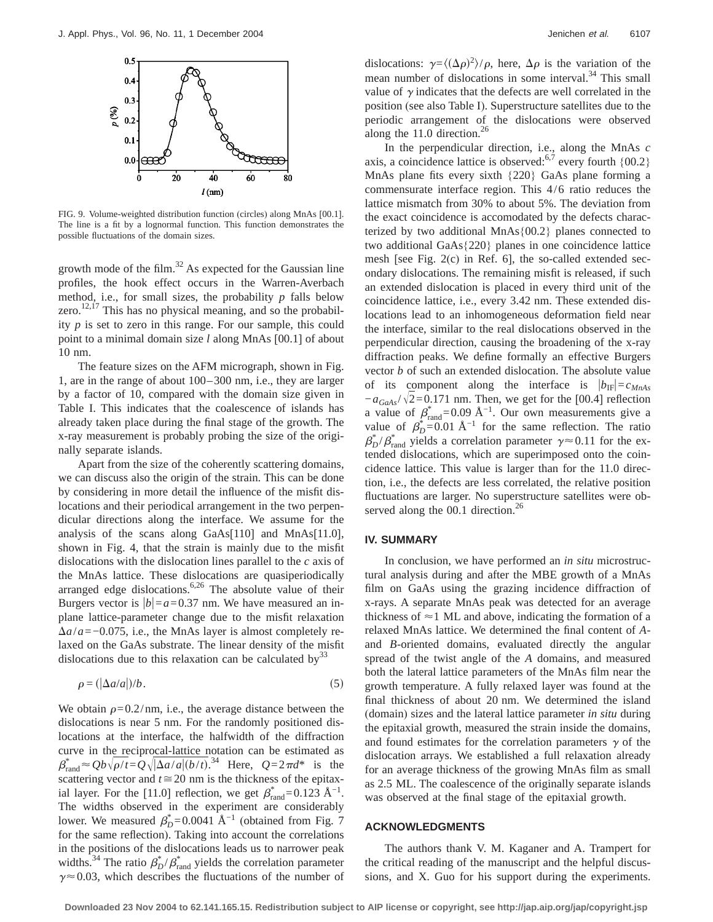

FIG. 9. Volume-weighted distribution function (circles) along MnAs [00.1]. The line is a fit by a lognormal function. This function demonstrates the possible fluctuations of the domain sizes.

growth mode of the film. $^{32}$  As expected for the Gaussian line profiles, the hook effect occurs in the Warren-Averbach method, i.e., for small sizes, the probability *p* falls below zero. $12,17$  This has no physical meaning, and so the probability *p* is set to zero in this range. For our sample, this could point to a minimal domain size *l* along MnAs [00.1] of about 10 nm.

The feature sizes on the AFM micrograph, shown in Fig. 1, are in the range of about 100–300 nm, i.e., they are larger by a factor of 10, compared with the domain size given in Table I. This indicates that the coalescence of islands has already taken place during the final stage of the growth. The x-ray measurement is probably probing the size of the originally separate islands.

Apart from the size of the coherently scattering domains, we can discuss also the origin of the strain. This can be done by considering in more detail the influence of the misfit dislocations and their periodical arrangement in the two perpendicular directions along the interface. We assume for the analysis of the scans along GaAs[110] and MnAs[11.0], shown in Fig. 4, that the strain is mainly due to the misfit dislocations with the dislocation lines parallel to the *c* axis of the MnAs lattice. These dislocations are quasiperiodically arranged edge dislocations.<sup>6,26</sup> The absolute value of their Burgers vector is  $|b|=a=0.37$  nm. We have measured an inplane lattice-parameter change due to the misfit relaxation  $\Delta a/a = -0.075$ , i.e., the MnAs layer is almost completely relaxed on the GaAs substrate. The linear density of the misfit dislocations due to this relaxation can be calculated by  $33$ 

$$
\rho = (|\Delta a/a|)/b. \tag{5}
$$

We obtain  $\rho$ =0.2/nm, i.e., the average distance between the dislocations is near 5 nm. For the randomly positioned dislocations at the interface, the halfwidth of the diffraction curve in the reciprocal-lattice notation can be estimated as  $\beta_{\text{rand}}^* \approx Qb\sqrt{\rho/t} = Q\sqrt{|\Delta a/a| (b/t)}^{34}$  Here,  $Q=2\pi d^*$  is the scattering vector and  $t \approx 20$  nm is the thickness of the epitaxial layer. For the [11.0] reflection, we get  $\beta^*_{rand} = 0.123 \text{ Å}^{-1}$ . The widths observed in the experiment are considerably lower. We measured  $\beta_D^*$ =0.0041 Å<sup>-1</sup> (obtained from Fig. 7 for the same reflection). Taking into account the correlations in the positions of the dislocations leads us to narrower peak widths.<sup>34</sup> The ratio  $\beta_D^*/\beta_{\text{rand}}^*$  yields the correlation parameter  $\gamma \approx 0.03$ , which describes the fluctuations of the number of

dislocations:  $\gamma = \langle (\Delta \rho)^2 \rangle / \rho$ , here,  $\Delta \rho$  is the variation of the mean number of dislocations in some interval.<sup>34</sup> This small value of  $\gamma$  indicates that the defects are well correlated in the position (see also Table I). Superstructure satellites due to the periodic arrangement of the dislocations were observed along the 11.0 direction. $^{26}$ 

In the perpendicular direction, i.e., along the MnAs *c* axis, a coincidence lattice is observed:  $6.7$  every fourth  $\{00.2\}$ MnAs plane fits every sixth {220} GaAs plane forming a commensurate interface region. This 4/6 ratio reduces the lattice mismatch from 30% to about 5%. The deviation from the exact coincidence is accomodated by the defects characterized by two additional MnAs{00.2} planes connected to two additional GaAs{220} planes in one coincidence lattice mesh [see Fig. 2(c) in Ref. 6], the so-called extended secondary dislocations. The remaining misfit is released, if such an extended dislocation is placed in every third unit of the coincidence lattice, i.e., every 3.42 nm. These extended dislocations lead to an inhomogeneous deformation field near the interface, similar to the real dislocations observed in the perpendicular direction, causing the broadening of the x-ray diffraction peaks. We define formally an effective Burgers vector *b* of such an extended dislocation. The absolute value of its component along the interface is  $|b_{\text{IF}}| = c_{MnAs}$  $-a_{GaAs}/\sqrt{2}=0.171$  nm. Then, we get for the [00.4] reflection a value of  $\beta^*_{\text{rand}} = 0.09 \text{ Å}^{-1}$ . Our own measurements give a value of  $\beta_D^* = 0.01 \text{ Å}^{-1}$  for the same reflection. The ratio  $\beta_D^* / \beta_{\text{rand}}^*$  yields a correlation parameter  $\gamma \approx 0.11$  for the extended dislocations, which are superimposed onto the coincidence lattice. This value is larger than for the 11.0 direction, i.e., the defects are less correlated, the relative position fluctuations are larger. No superstructure satellites were observed along the  $00.1$  direction.<sup>26</sup>

#### **IV. SUMMARY**

In conclusion, we have performed an *in situ* microstructural analysis during and after the MBE growth of a MnAs film on GaAs using the grazing incidence diffraction of x-rays. A separate MnAs peak was detected for an average thickness of  $\approx$  1 ML and above, indicating the formation of a relaxed MnAs lattice. We determined the final content of *A*and *B*-oriented domains, evaluated directly the angular spread of the twist angle of the *A* domains, and measured both the lateral lattice parameters of the MnAs film near the growth temperature. A fully relaxed layer was found at the final thickness of about 20 nm. We determined the island (domain) sizes and the lateral lattice parameter *in situ* during the epitaxial growth, measured the strain inside the domains, and found estimates for the correlation parameters  $\gamma$  of the dislocation arrays. We established a full relaxation already for an average thickness of the growing MnAs film as small as 2.5 ML. The coalescence of the originally separate islands was observed at the final stage of the epitaxial growth.

### **ACKNOWLEDGMENTS**

The authors thank V. M. Kaganer and A. Trampert for the critical reading of the manuscript and the helpful discussions, and X. Guo for his support during the experiments.